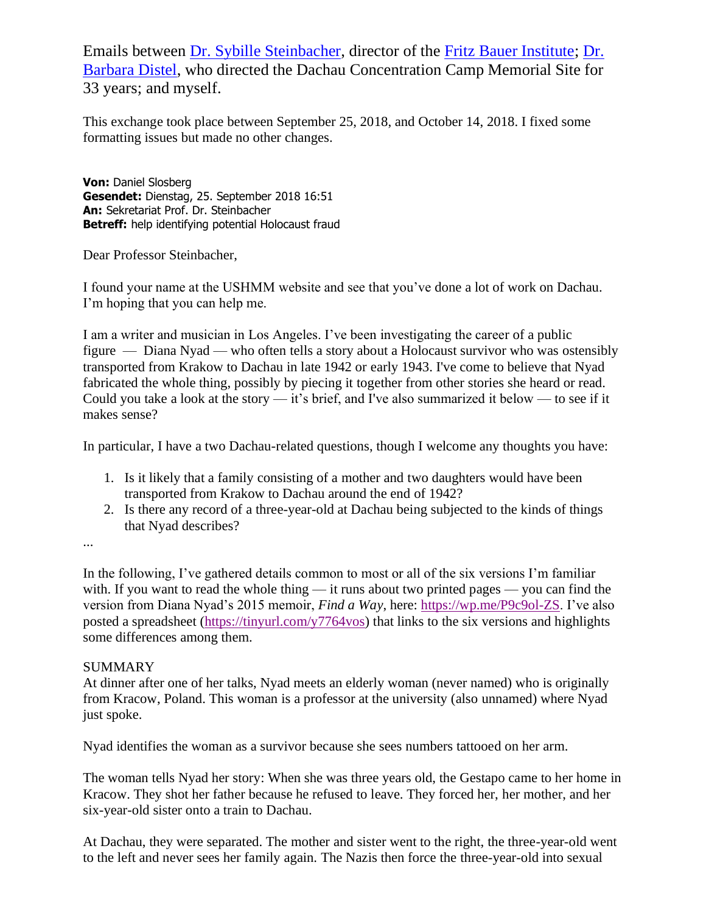Emails between [Dr. Sybille Steinbacher,](https://www.fritz-bauer-institut.de/en/sybille-steinbacher) director of the [Fritz Bauer Institute;](https://www.fritz-bauer-institut.de/) [Dr.](https://www.merkur.de/lokales/dachau/landkreis/abschieds-empfang-barbara-distel-dachau-guten-gemacht-315738.html)  [Barbara Distel,](https://www.merkur.de/lokales/dachau/landkreis/abschieds-empfang-barbara-distel-dachau-guten-gemacht-315738.html) who directed the Dachau Concentration Camp Memorial Site for 33 years; and myself.

This exchange took place between September 25, 2018, and October 14, 2018. I fixed some formatting issues but made no other changes.

**Von:** Daniel Slosberg **Gesendet:** Dienstag, 25. September 2018 16:51 **An:** Sekretariat Prof. Dr. Steinbacher **Betreff:** help identifying potential Holocaust fraud

Dear Professor Steinbacher,

I found your name at the USHMM website and see that you've done a lot of work on Dachau. I'm hoping that you can help me.

I am a writer and musician in Los Angeles. I've been investigating the career of a public figure — Diana Nyad — who often tells a story about a Holocaust survivor who was ostensibly transported from Krakow to Dachau in late 1942 or early 1943. I've come to believe that Nyad fabricated the whole thing, possibly by piecing it together from other stories she heard or read. Could you take a look at the story — it's brief, and I've also summarized it below — to see if it makes sense?

In particular, I have a two Dachau-related questions, though I welcome any thoughts you have:

- 1. Is it likely that a family consisting of a mother and two daughters would have been transported from Krakow to Dachau around the end of 1942?
- 2. Is there any record of a three-year-old at Dachau being subjected to the kinds of things that Nyad describes?

...

In the following, I've gathered details common to most or all of the six versions I'm familiar with. If you want to read the whole thing — it runs about two printed pages — you can find the version from Diana Nyad's 2015 memoir, *Find a Way*, here: [https://wp.me/P9c9ol-ZS.](https://wp.me/P9c9ol-ZS) I've also posted a spreadsheet [\(https://tinyurl.com/y7764vos\)](https://tinyurl.com/y7764vos) that links to the six versions and highlights some differences among them.

## **SUMMARY**

At dinner after one of her talks, Nyad meets an elderly woman (never named) who is originally from Kracow, Poland. This woman is a professor at the university (also unnamed) where Nyad just spoke.

Nyad identifies the woman as a survivor because she sees numbers tattooed on her arm.

The woman tells Nyad her story: When she was three years old, the Gestapo came to her home in Kracow. They shot her father because he refused to leave. They forced her, her mother, and her six-year-old sister onto a train to Dachau.

At Dachau, they were separated. The mother and sister went to the right, the three-year-old went to the left and never sees her family again. The Nazis then force the three-year-old into sexual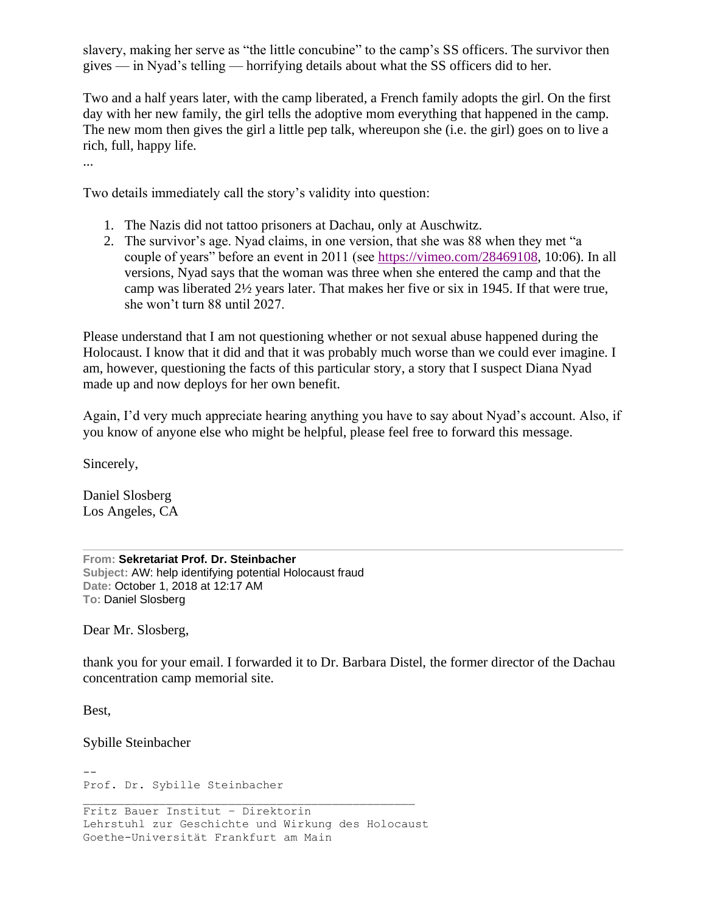slavery, making her serve as "the little concubine" to the camp's SS officers. The survivor then gives — in Nyad's telling — horrifying details about what the SS officers did to her.

Two and a half years later, with the camp liberated, a French family adopts the girl. On the first day with her new family, the girl tells the adoptive mom everything that happened in the camp. The new mom then gives the girl a little pep talk, whereupon she (i.e. the girl) goes on to live a rich, full, happy life.

...

Two details immediately call the story's validity into question:

- 1. The Nazis did not tattoo prisoners at Dachau, only at Auschwitz.
- 2. The survivor's age. Nyad claims, in one version, that she was 88 when they met "a couple of years" before an event in 2011 (see [https://vimeo.com/28469108,](https://vimeo.com/28469108) 10:06). In all versions, Nyad says that the woman was three when she entered the camp and that the camp was liberated 2½ years later. That makes her five or six in 1945. If that were true, she won't turn 88 until 2027.

Please understand that I am not questioning whether or not sexual abuse happened during the Holocaust. I know that it did and that it was probably much worse than we could ever imagine. I am, however, questioning the facts of this particular story, a story that I suspect Diana Nyad made up and now deploys for her own benefit.

Again, I'd very much appreciate hearing anything you have to say about Nyad's account. Also, if you know of anyone else who might be helpful, please feel free to forward this message.

Sincerely,

Daniel Slosberg Los Angeles, CA

**From: Sekretariat Prof. Dr. Steinbacher Subject:** AW: help identifying potential Holocaust fraud **Date:** October 1, 2018 at 12:17 AM **To:** Daniel Slosberg

Dear Mr. Slosberg,

thank you for your email. I forwarded it to Dr. Barbara Distel, the former director of the Dachau concentration camp memorial site.

Best,

Sybille Steinbacher

-- Prof. Dr. Sybille Steinbacher

Fritz Bauer Institut – Direktorin Lehrstuhl zur Geschichte und Wirkung des Holocaust Goethe-Universität Frankfurt am Main